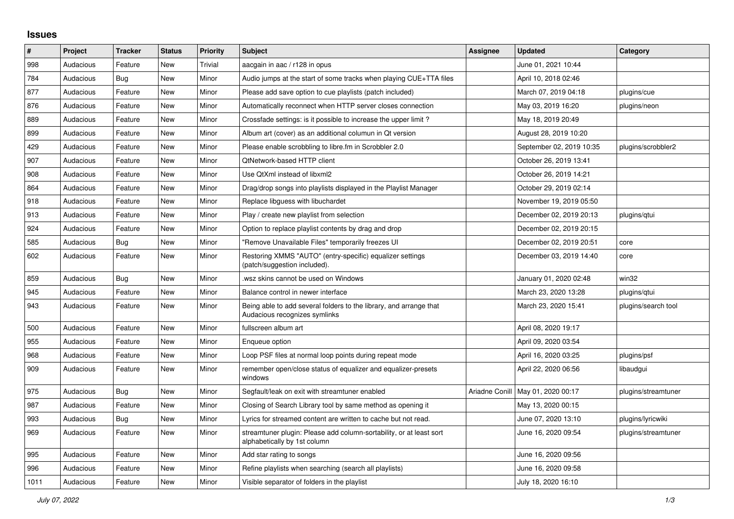## **Issues**

| $\vert$ # | Project   | <b>Tracker</b> | <b>Status</b> | <b>Priority</b> | <b>Subject</b>                                                                                      | <b>Assignee</b> | <b>Updated</b>           | Category            |
|-----------|-----------|----------------|---------------|-----------------|-----------------------------------------------------------------------------------------------------|-----------------|--------------------------|---------------------|
| 998       | Audacious | Feature        | <b>New</b>    | Trivial         | aacgain in aac / r128 in opus                                                                       |                 | June 01, 2021 10:44      |                     |
| 784       | Audacious | Bug            | <b>New</b>    | Minor           | Audio jumps at the start of some tracks when playing CUE+TTA files                                  |                 | April 10, 2018 02:46     |                     |
| 877       | Audacious | Feature        | <b>New</b>    | Minor           | Please add save option to cue playlists (patch included)                                            |                 | March 07, 2019 04:18     | plugins/cue         |
| 876       | Audacious | Feature        | <b>New</b>    | Minor           | Automatically reconnect when HTTP server closes connection                                          |                 | May 03, 2019 16:20       | plugins/neon        |
| 889       | Audacious | Feature        | <b>New</b>    | Minor           | Crossfade settings: is it possible to increase the upper limit?                                     |                 | May 18, 2019 20:49       |                     |
| 899       | Audacious | Feature        | <b>New</b>    | Minor           | Album art (cover) as an additional columun in Qt version                                            |                 | August 28, 2019 10:20    |                     |
| 429       | Audacious | Feature        | New           | Minor           | Please enable scrobbling to libre.fm in Scrobbler 2.0                                               |                 | September 02, 2019 10:35 | plugins/scrobbler2  |
| 907       | Audacious | Feature        | New           | Minor           | QtNetwork-based HTTP client                                                                         |                 | October 26, 2019 13:41   |                     |
| 908       | Audacious | Feature        | <b>New</b>    | Minor           | Use QtXml instead of libxml2                                                                        |                 | October 26, 2019 14:21   |                     |
| 864       | Audacious | Feature        | <b>New</b>    | Minor           | Drag/drop songs into playlists displayed in the Playlist Manager                                    |                 | October 29, 2019 02:14   |                     |
| 918       | Audacious | Feature        | <b>New</b>    | Minor           | Replace libguess with libuchardet                                                                   |                 | November 19, 2019 05:50  |                     |
| 913       | Audacious | Feature        | New           | Minor           | Play / create new playlist from selection                                                           |                 | December 02, 2019 20:13  | plugins/qtui        |
| 924       | Audacious | Feature        | New           | Minor           | Option to replace playlist contents by drag and drop                                                |                 | December 02, 2019 20:15  |                     |
| 585       | Audacious | Bug            | <b>New</b>    | Minor           | "Remove Unavailable Files" temporarily freezes UI                                                   |                 | December 02, 2019 20:51  | core                |
| 602       | Audacious | Feature        | <b>New</b>    | Minor           | Restoring XMMS "AUTO" (entry-specific) equalizer settings<br>(patch/suggestion included).           |                 | December 03, 2019 14:40  | core                |
| 859       | Audacious | Bug            | <b>New</b>    | Minor           | wsz skins cannot be used on Windows                                                                 |                 | January 01, 2020 02:48   | win32               |
| 945       | Audacious | Feature        | <b>New</b>    | Minor           | Balance control in newer interface                                                                  |                 | March 23, 2020 13:28     | plugins/gtui        |
| 943       | Audacious | Feature        | New           | Minor           | Being able to add several folders to the library, and arrange that<br>Audacious recognizes symlinks |                 | March 23, 2020 15:41     | plugins/search tool |
| 500       | Audacious | Feature        | <b>New</b>    | Minor           | fullscreen album art                                                                                |                 | April 08, 2020 19:17     |                     |
| 955       | Audacious | Feature        | <b>New</b>    | Minor           | Enqueue option                                                                                      |                 | April 09, 2020 03:54     |                     |
| 968       | Audacious | Feature        | <b>New</b>    | Minor           | Loop PSF files at normal loop points during repeat mode                                             |                 | April 16, 2020 03:25     | plugins/psf         |
| 909       | Audacious | Feature        | New           | Minor           | remember open/close status of equalizer and equalizer-presets<br>windows                            |                 | April 22, 2020 06:56     | libaudgui           |
| 975       | Audacious | Bug            | <b>New</b>    | Minor           | Segfault/leak on exit with streamtuner enabled                                                      | Ariadne Conill  | May 01, 2020 00:17       | plugins/streamtuner |
| 987       | Audacious | Feature        | New           | Minor           | Closing of Search Library tool by same method as opening it                                         |                 | May 13, 2020 00:15       |                     |
| 993       | Audacious | <b>Bug</b>     | New           | Minor           | Lyrics for streamed content are written to cache but not read.                                      |                 | June 07, 2020 13:10      | plugins/lyricwiki   |
| 969       | Audacious | Feature        | <b>New</b>    | Minor           | streamtuner plugin: Please add column-sortability, or at least sort<br>alphabetically by 1st column |                 | June 16, 2020 09:54      | plugins/streamtuner |
| 995       | Audacious | Feature        | <b>New</b>    | Minor           | Add star rating to songs                                                                            |                 | June 16, 2020 09:56      |                     |
| 996       | Audacious | Feature        | <b>New</b>    | Minor           | Refine playlists when searching (search all playlists)                                              |                 | June 16, 2020 09:58      |                     |
| 1011      | Audacious | Feature        | <b>New</b>    | Minor           | Visible separator of folders in the playlist                                                        |                 | July 18, 2020 16:10      |                     |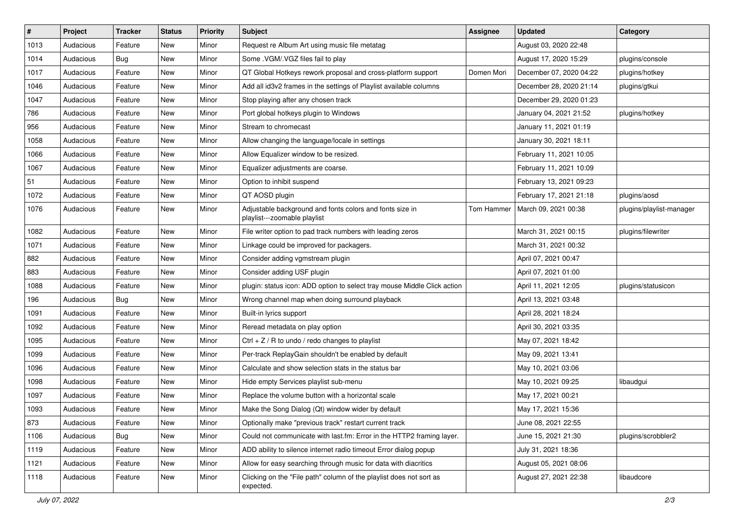| #    | Project   | <b>Tracker</b> | <b>Status</b> | <b>Priority</b> | Subject                                                                                  | <b>Assignee</b> | <b>Updated</b>          | Category                 |
|------|-----------|----------------|---------------|-----------------|------------------------------------------------------------------------------------------|-----------------|-------------------------|--------------------------|
| 1013 | Audacious | Feature        | New           | Minor           | Request re Album Art using music file metatag                                            |                 | August 03, 2020 22:48   |                          |
| 1014 | Audacious | Bug            | New           | Minor           | Some .VGM/.VGZ files fail to play                                                        |                 | August 17, 2020 15:29   | plugins/console          |
| 1017 | Audacious | Feature        | New           | Minor           | QT Global Hotkeys rework proposal and cross-platform support                             | Domen Mori      | December 07, 2020 04:22 | plugins/hotkey           |
| 1046 | Audacious | Feature        | New           | Minor           | Add all id3v2 frames in the settings of Playlist available columns                       |                 | December 28, 2020 21:14 | plugins/gtkui            |
| 1047 | Audacious | Feature        | New           | Minor           | Stop playing after any chosen track                                                      |                 | December 29, 2020 01:23 |                          |
| 786  | Audacious | Feature        | New           | Minor           | Port global hotkeys plugin to Windows                                                    |                 | January 04, 2021 21:52  | plugins/hotkey           |
| 956  | Audacious | Feature        | New           | Minor           | Stream to chromecast                                                                     |                 | January 11, 2021 01:19  |                          |
| 1058 | Audacious | Feature        | New           | Minor           | Allow changing the language/locale in settings                                           |                 | January 30, 2021 18:11  |                          |
| 1066 | Audacious | Feature        | New           | Minor           | Allow Equalizer window to be resized.                                                    |                 | February 11, 2021 10:05 |                          |
| 1067 | Audacious | Feature        | New           | Minor           | Equalizer adjustments are coarse.                                                        |                 | February 11, 2021 10:09 |                          |
| 51   | Audacious | Feature        | New           | Minor           | Option to inhibit suspend                                                                |                 | February 13, 2021 09:23 |                          |
| 1072 | Audacious | Feature        | New           | Minor           | QT AOSD plugin                                                                           |                 | February 17, 2021 21:18 | plugins/aosd             |
| 1076 | Audacious | Feature        | New           | Minor           | Adjustable background and fonts colors and fonts size in<br>playlist---zoomable playlist | Tom Hammer      | March 09, 2021 00:38    | plugins/playlist-manager |
| 1082 | Audacious | Feature        | New           | Minor           | File writer option to pad track numbers with leading zeros                               |                 | March 31, 2021 00:15    | plugins/filewriter       |
| 1071 | Audacious | Feature        | New           | Minor           | Linkage could be improved for packagers.                                                 |                 | March 31, 2021 00:32    |                          |
| 882  | Audacious | Feature        | New           | Minor           | Consider adding vgmstream plugin                                                         |                 | April 07, 2021 00:47    |                          |
| 883  | Audacious | Feature        | New           | Minor           | Consider adding USF plugin                                                               |                 | April 07, 2021 01:00    |                          |
| 1088 | Audacious | Feature        | New           | Minor           | plugin: status icon: ADD option to select tray mouse Middle Click action                 |                 | April 11, 2021 12:05    | plugins/statusicon       |
| 196  | Audacious | <b>Bug</b>     | New           | Minor           | Wrong channel map when doing surround playback                                           |                 | April 13, 2021 03:48    |                          |
| 1091 | Audacious | Feature        | New           | Minor           | Built-in lyrics support                                                                  |                 | April 28, 2021 18:24    |                          |
| 1092 | Audacious | Feature        | New           | Minor           | Reread metadata on play option                                                           |                 | April 30, 2021 03:35    |                          |
| 1095 | Audacious | Feature        | New           | Minor           | $Ctrl + Z / R$ to undo / redo changes to playlist                                        |                 | May 07, 2021 18:42      |                          |
| 1099 | Audacious | Feature        | New           | Minor           | Per-track ReplayGain shouldn't be enabled by default                                     |                 | May 09, 2021 13:41      |                          |
| 1096 | Audacious | Feature        | New           | Minor           | Calculate and show selection stats in the status bar                                     |                 | May 10, 2021 03:06      |                          |
| 1098 | Audacious | Feature        | New           | Minor           | Hide empty Services playlist sub-menu                                                    |                 | May 10, 2021 09:25      | libaudgui                |
| 1097 | Audacious | Feature        | New           | Minor           | Replace the volume button with a horizontal scale                                        |                 | May 17, 2021 00:21      |                          |
| 1093 | Audacious | Feature        | New           | Minor           | Make the Song Dialog (Qt) window wider by default                                        |                 | May 17, 2021 15:36      |                          |
| 873  | Audacious | Feature        | New           | Minor           | Optionally make "previous track" restart current track                                   |                 | June 08, 2021 22:55     |                          |
| 1106 | Audacious | Bug            | New           | Minor           | Could not communicate with last.fm: Error in the HTTP2 framing layer.                    |                 | June 15, 2021 21:30     | plugins/scrobbler2       |
| 1119 | Audacious | Feature        | New           | Minor           | ADD ability to silence internet radio timeout Error dialog popup                         |                 | July 31, 2021 18:36     |                          |
| 1121 | Audacious | Feature        | New           | Minor           | Allow for easy searching through music for data with diacritics                          |                 | August 05, 2021 08:06   |                          |
| 1118 | Audacious | Feature        | New           | Minor           | Clicking on the "File path" column of the playlist does not sort as<br>expected.         |                 | August 27, 2021 22:38   | libaudcore               |